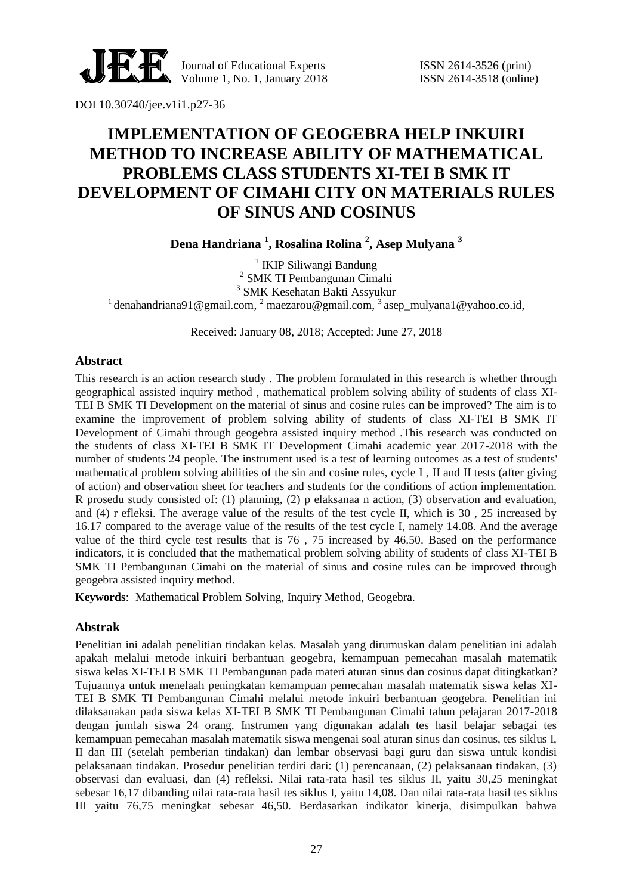

Journal of Educational Experts ISSN 2614-3526 (print) Volume 1, No. 1, January 2018 ISSN 2614-3518 (online)

DOI 10.30740/jee.v1i1.p27-36

# **IMPLEMENTATION OF GEOGEBRA HELP INKUIRI METHOD TO INCREASE ABILITY OF MATHEMATICAL PROBLEMS CLASS STUDENTS XI-TEI B SMK IT DEVELOPMENT OF CIMAHI CITY ON MATERIALS RULES OF SINUS AND COSINUS**

**Dena Handriana <sup>1</sup> , Rosalina Rolina <sup>2</sup> , Asep Mulyana <sup>3</sup>**

<sup>1</sup> IKIP Siliwangi Bandung 2 SMK TI Pembangunan Cimahi 3 SMK Kesehatan Bakti Assyukur <sup>1</sup> denahandriana91@gmail.com, <sup>2</sup> maezarou@gmail.com, <sup>3</sup> asep\_mulyana1@yahoo.co.id,

Received: January 08, 2018; Accepted: June 27, 2018

#### **Abstract**

This research is an action research study . The problem formulated in this research is whether through geographical assisted inquiry method , mathematical problem solving ability of students of class XI-TEI B SMK TI Development on the material of sinus and cosine rules can be improved? The aim is to examine the improvement of problem solving ability of students of class XI-TEI B SMK IT Development of Cimahi through geogebra assisted inquiry method .This research was conducted on the students of class XI-TEI B SMK IT Development Cimahi academic year 2017-2018 with the number of students 24 people. The instrument used is a test of learning outcomes as a test of students' mathematical problem solving abilities of the sin and cosine rules, cycle I , II and II tests (after giving of action) and observation sheet for teachers and students for the conditions of action implementation. R prosedu study consisted of: (1) planning, (2) p elaksanaa n action, (3) observation and evaluation, and (4) r efleksi. The average value of the results of the test cycle II, which is 30 , 25 increased by 16.17 compared to the average value of the results of the test cycle I, namely 14.08. And the average value of the third cycle test results that is 76 , 75 increased by 46.50. Based on the performance indicators, it is concluded that the mathematical problem solving ability of students of class XI-TEI B SMK TI Pembangunan Cimahi on the material of sinus and cosine rules can be improved through geogebra assisted inquiry method.

**Keywords**: Mathematical Problem Solving, Inquiry Method, Geogebra.

#### **Abstrak**

Penelitian ini adalah penelitian tindakan kelas. Masalah yang dirumuskan dalam penelitian ini adalah apakah melalui metode inkuiri berbantuan geogebra, kemampuan pemecahan masalah matematik siswa kelas XI-TEI B SMK TI Pembangunan pada materi aturan sinus dan cosinus dapat ditingkatkan? Tujuannya untuk menelaah peningkatan kemampuan pemecahan masalah matematik siswa kelas XI-TEI B SMK TI Pembangunan Cimahi melalui metode inkuiri berbantuan geogebra. Penelitian ini dilaksanakan pada siswa kelas XI-TEI B SMK TI Pembangunan Cimahi tahun pelajaran 2017-2018 dengan jumlah siswa 24 orang. Instrumen yang digunakan adalah tes hasil belajar sebagai tes kemampuan pemecahan masalah matematik siswa mengenai soal aturan sinus dan cosinus, tes siklus I, II dan III (setelah pemberian tindakan) dan lembar observasi bagi guru dan siswa untuk kondisi pelaksanaan tindakan. Prosedur penelitian terdiri dari: (1) perencanaan, (2) pelaksanaan tindakan, (3) observasi dan evaluasi, dan (4) refleksi. Nilai rata-rata hasil tes siklus II, yaitu 30,25 meningkat sebesar 16,17 dibanding nilai rata-rata hasil tes siklus I, yaitu 14,08. Dan nilai rata-rata hasil tes siklus III yaitu 76,75 meningkat sebesar 46,50. Berdasarkan indikator kinerja, disimpulkan bahwa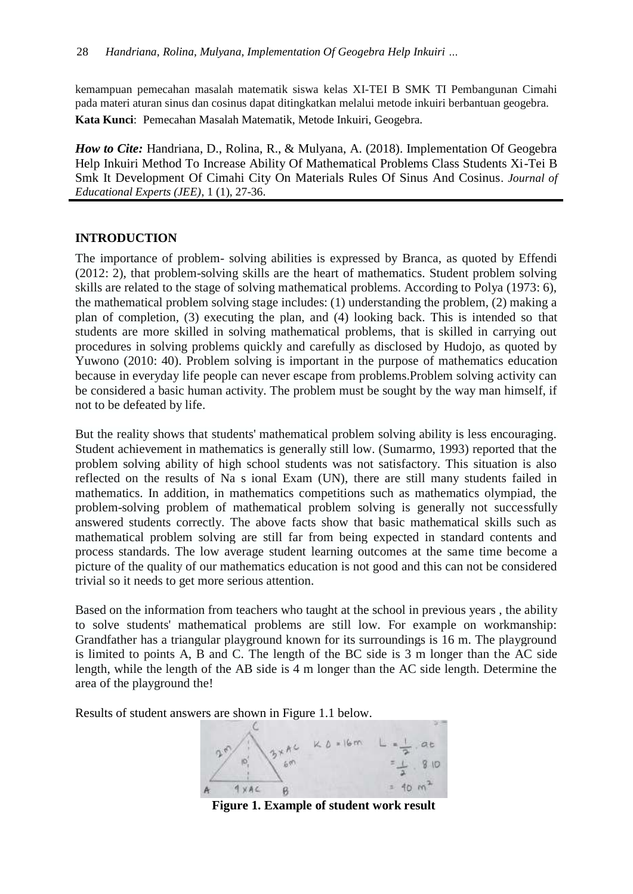kemampuan pemecahan masalah matematik siswa kelas XI-TEI B SMK TI Pembangunan Cimahi pada materi aturan sinus dan cosinus dapat ditingkatkan melalui metode inkuiri berbantuan geogebra.

**Kata Kunci**: Pemecahan Masalah Matematik, Metode Inkuiri, Geogebra.

*How to Cite: Handriana, D., Rolina, R., & Mulyana, A. (2018). Implementation Of Geogebra* Help Inkuiri Method To Increase Ability Of Mathematical Problems Class Students Xi-Tei B Smk It Development Of Cimahi City On Materials Rules Of Sinus And Cosinus. *Journal of Educational Experts (JEE)*, 1 (1), 27-36.

## **INTRODUCTION**

The importance of problem- solving abilities is expressed by Branca, as quoted by Effendi (2012: 2), that problem-solving skills are the heart of mathematics. Student problem solving skills are related to the stage of solving mathematical problems. According to Polya (1973: 6), the mathematical problem solving stage includes: (1) understanding the problem, (2) making a plan of completion, (3) executing the plan, and (4) looking back. This is intended so that students are more skilled in solving mathematical problems, that is skilled in carrying out procedures in solving problems quickly and carefully as disclosed by Hudojo, as quoted by Yuwono (2010: 40). Problem solving is important in the purpose of mathematics education because in everyday life people can never escape from problems.Problem solving activity can be considered a basic human activity. The problem must be sought by the way man himself, if not to be defeated by life.

But the reality shows that students' mathematical problem solving ability is less encouraging. Student achievement in mathematics is generally still low. (Sumarmo, 1993) reported that the problem solving ability of high school students was not satisfactory. This situation is also reflected on the results of Na s ional Exam (UN), there are still many students failed in mathematics. In addition, in mathematics competitions such as mathematics olympiad, the problem-solving problem of mathematical problem solving is generally not successfully answered students correctly. The above facts show that basic mathematical skills such as mathematical problem solving are still far from being expected in standard contents and process standards. The low average student learning outcomes at the same time become a picture of the quality of our mathematics education is not good and this can not be considered trivial so it needs to get more serious attention.

Based on the information from teachers who taught at the school in previous years , the ability to solve students' mathematical problems are still low. For example on workmanship: Grandfather has a triangular playground known for its surroundings is 16 m. The playground is limited to points A, B and C. The length of the BC side is 3 m longer than the AC side length, while the length of the AB side is 4 m longer than the AC side length. Determine the area of the playground the!

Results of student answers are shown in Figure 1.1 below.

 $3\times AC$   $K = 16m$ 

**Figure 1. Example of student work result**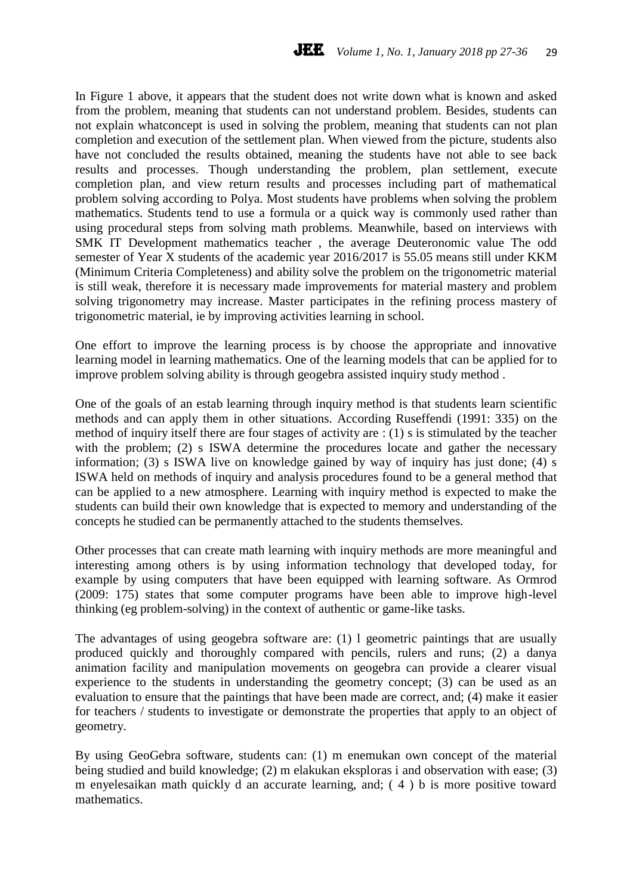In Figure 1 above, it appears that the student does not write down what is known and asked from the problem, meaning that students can not understand problem. Besides, students can not explain whatconcept is used in solving the problem, meaning that students can not plan completion and execution of the settlement plan. When viewed from the picture, students also have not concluded the results obtained, meaning the students have not able to see back results and processes. Though understanding the problem, plan settlement, execute completion plan, and view return results and processes including part of mathematical problem solving according to Polya. Most students have problems when solving the problem mathematics. Students tend to use a formula or a quick way is commonly used rather than using procedural steps from solving math problems. Meanwhile, based on interviews with SMK IT Development mathematics teacher , the average Deuteronomic value The odd semester of Year X students of the academic year 2016/2017 is 55.05 means still under KKM (Minimum Criteria Completeness) and ability solve the problem on the trigonometric material is still weak, therefore it is necessary made improvements for material mastery and problem solving trigonometry may increase. Master participates in the refining process mastery of trigonometric material, ie by improving activities learning in school.

One effort to improve the learning process is by choose the appropriate and innovative learning model in learning mathematics. One of the learning models that can be applied for to improve problem solving ability is through geogebra assisted inquiry study method .

One of the goals of an estab learning through inquiry method is that students learn scientific methods and can apply them in other situations. According Ruseffendi (1991: 335) on the method of inquiry itself there are four stages of activity are : (1) s is stimulated by the teacher with the problem; (2) s ISWA determine the procedures locate and gather the necessary information; (3) s ISWA live on knowledge gained by way of inquiry has just done; (4) s ISWA held on methods of inquiry and analysis procedures found to be a general method that can be applied to a new atmosphere. Learning with inquiry method is expected to make the students can build their own knowledge that is expected to memory and understanding of the concepts he studied can be permanently attached to the students themselves.

Other processes that can create math learning with inquiry methods are more meaningful and interesting among others is by using information technology that developed today, for example by using computers that have been equipped with learning software. As Ormrod (2009: 175) states that some computer programs have been able to improve high-level thinking (eg problem-solving) in the context of authentic or game-like tasks.

The advantages of using geogebra software are: (1) l geometric paintings that are usually produced quickly and thoroughly compared with pencils, rulers and runs; (2) a danya animation facility and manipulation movements on geogebra can provide a clearer visual experience to the students in understanding the geometry concept; (3) can be used as an evaluation to ensure that the paintings that have been made are correct, and; (4) make it easier for teachers / students to investigate or demonstrate the properties that apply to an object of geometry.

By using GeoGebra software, students can: (1) m enemukan own concept of the material being studied and build knowledge; (2) m elakukan eksploras i and observation with ease; (3) m enyelesaikan math quickly d an accurate learning, and; ( 4 ) b is more positive toward mathematics.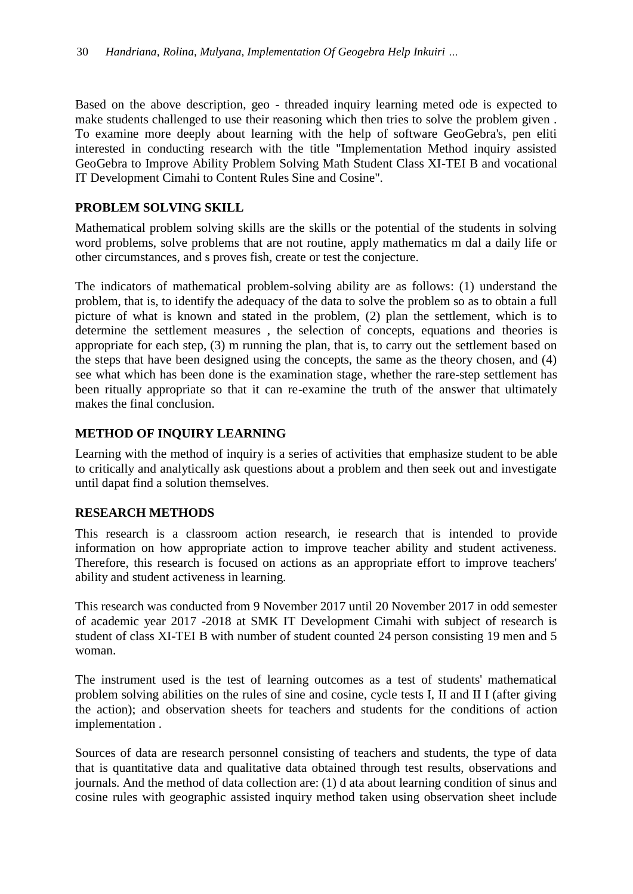Based on the above description, geo - threaded inquiry learning meted ode is expected to make students challenged to use their reasoning which then tries to solve the problem given . To examine more deeply about learning with the help of software GeoGebra's, pen eliti interested in conducting research with the title "Implementation Method inquiry assisted GeoGebra to Improve Ability Problem Solving Math Student Class XI-TEI B and vocational IT Development Cimahi to Content Rules Sine and Cosine".

# **PROBLEM SOLVING SKILL**

Mathematical problem solving skills are the skills or the potential of the students in solving word problems, solve problems that are not routine, apply mathematics m dal a daily life or other circumstances, and s proves fish, create or test the conjecture.

The indicators of mathematical problem-solving ability are as follows: (1) understand the problem, that is, to identify the adequacy of the data to solve the problem so as to obtain a full picture of what is known and stated in the problem, (2) plan the settlement, which is to determine the settlement measures , the selection of concepts, equations and theories is appropriate for each step, (3) m running the plan, that is, to carry out the settlement based on the steps that have been designed using the concepts, the same as the theory chosen, and (4) see what which has been done is the examination stage, whether the rare-step settlement has been ritually appropriate so that it can re-examine the truth of the answer that ultimately makes the final conclusion.

## **METHOD OF INQUIRY LEARNING**

Learning with the method of inquiry is a series of activities that emphasize student to be able to critically and analytically ask questions about a problem and then seek out and investigate until dapat find a solution themselves.

# **RESEARCH METHODS**

This research is a classroom action research, ie research that is intended to provide information on how appropriate action to improve teacher ability and student activeness. Therefore, this research is focused on actions as an appropriate effort to improve teachers' ability and student activeness in learning.

This research was conducted from 9 November 2017 until 20 November 2017 in odd semester of academic year 2017 -2018 at SMK IT Development Cimahi with subject of research is student of class XI-TEI B with number of student counted 24 person consisting 19 men and 5 woman.

The instrument used is the test of learning outcomes as a test of students' mathematical problem solving abilities on the rules of sine and cosine, cycle tests I, II and II I (after giving the action); and observation sheets for teachers and students for the conditions of action implementation .

Sources of data are research personnel consisting of teachers and students, the type of data that is quantitative data and qualitative data obtained through test results, observations and journals. And the method of data collection are: (1) d ata about learning condition of sinus and cosine rules with geographic assisted inquiry method taken using observation sheet include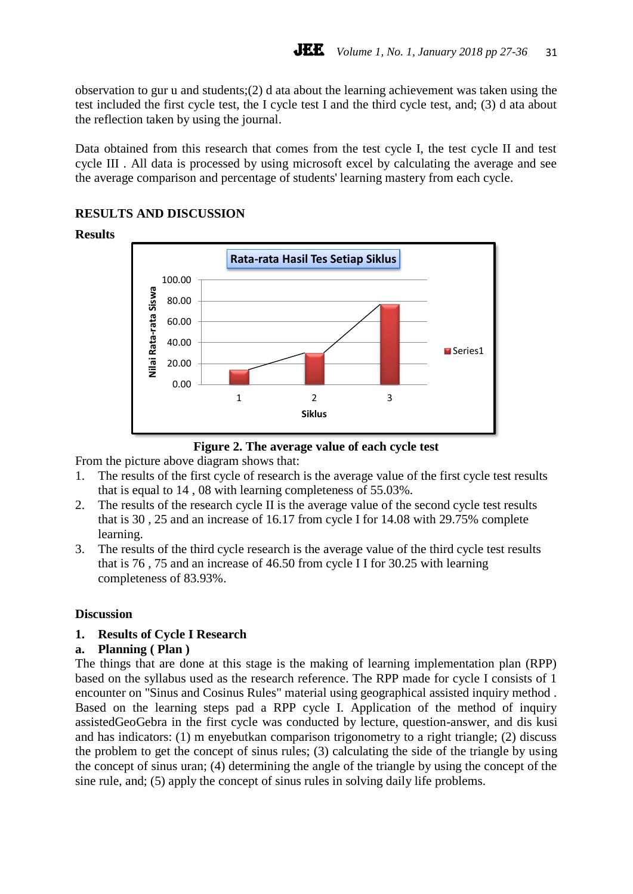observation to gur u and students;(2) d ata about the learning achievement was taken using the test included the first cycle test, the I cycle test I and the third cycle test, and; (3) d ata about the reflection taken by using the journal.

Data obtained from this research that comes from the test cycle I, the test cycle II and test cycle III . All data is processed by using microsoft excel by calculating the average and see the average comparison and percentage of students' learning mastery from each cycle.

## **RESULTS AND DISCUSSION**

#### **Results**



**Figure 2. The average value of each cycle test**

From the picture above diagram shows that:

- 1. The results of the first cycle of research is the average value of the first cycle test results that is equal to 14 , 08 with learning completeness of 55.03%.
- 2. The results of the research cycle II is the average value of the second cycle test results that is 30 , 25 and an increase of 16.17 from cycle I for 14.08 with 29.75% complete learning.
- 3. The results of the third cycle research is the average value of the third cycle test results that is 76 , 75 and an increase of 46.50 from cycle I I for 30.25 with learning completeness of 83.93%.

#### **Discussion**

#### **1. Results of Cycle I Research**

#### **a. Planning ( Plan )**

The things that are done at this stage is the making of learning implementation plan (RPP) based on the syllabus used as the research reference. The RPP made for cycle I consists of 1 encounter on "Sinus and Cosinus Rules" material using geographical assisted inquiry method . Based on the learning steps pad a RPP cycle I. Application of the method of inquiry assistedGeoGebra in the first cycle was conducted by lecture, question-answer, and dis kusi and has indicators: (1) m enyebutkan comparison trigonometry to a right triangle; (2) discuss the problem to get the concept of sinus rules; (3) calculating the side of the triangle by using the concept of sinus uran; (4) determining the angle of the triangle by using the concept of the sine rule, and; (5) apply the concept of sinus rules in solving daily life problems.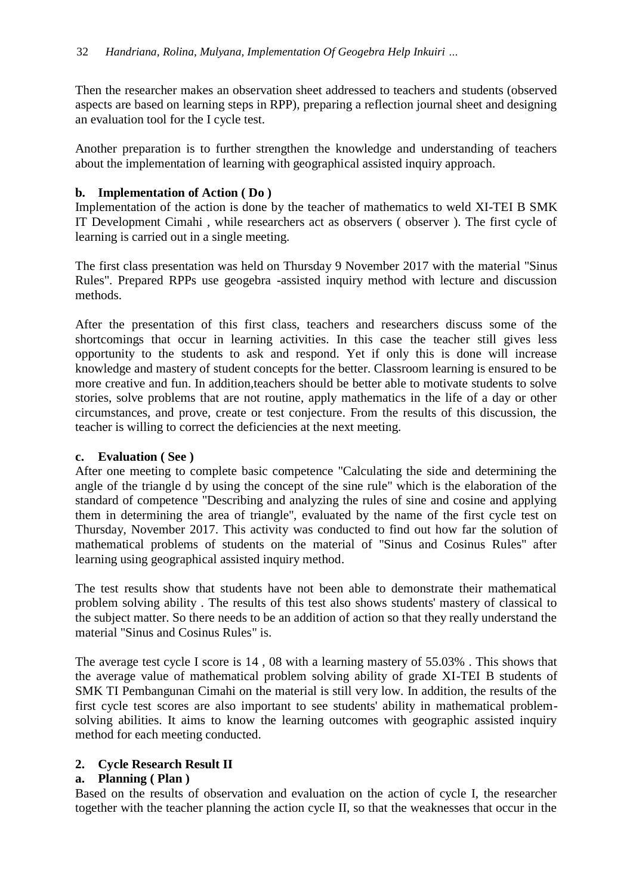Then the researcher makes an observation sheet addressed to teachers and students (observed aspects are based on learning steps in RPP), preparing a reflection journal sheet and designing an evaluation tool for the I cycle test.

Another preparation is to further strengthen the knowledge and understanding of teachers about the implementation of learning with geographical assisted inquiry approach.

#### **b. Implementation of Action ( Do )**

Implementation of the action is done by the teacher of mathematics to weld XI-TEI B SMK IT Development Cimahi , while researchers act as observers ( observer ). The first cycle of learning is carried out in a single meeting.

The first class presentation was held on Thursday 9 November 2017 with the material "Sinus Rules". Prepared RPPs use geogebra -assisted inquiry method with lecture and discussion methods.

After the presentation of this first class, teachers and researchers discuss some of the shortcomings that occur in learning activities. In this case the teacher still gives less opportunity to the students to ask and respond. Yet if only this is done will increase knowledge and mastery of student concepts for the better. Classroom learning is ensured to be more creative and fun. In addition,teachers should be better able to motivate students to solve stories, solve problems that are not routine, apply mathematics in the life of a day or other circumstances, and prove, create or test conjecture. From the results of this discussion, the teacher is willing to correct the deficiencies at the next meeting.

#### **c. Evaluation ( See )**

After one meeting to complete basic competence "Calculating the side and determining the angle of the triangle d by using the concept of the sine rule" which is the elaboration of the standard of competence "Describing and analyzing the rules of sine and cosine and applying them in determining the area of triangle", evaluated by the name of the first cycle test on Thursday, November 2017. This activity was conducted to find out how far the solution of mathematical problems of students on the material of "Sinus and Cosinus Rules" after learning using geographical assisted inquiry method.

The test results show that students have not been able to demonstrate their mathematical problem solving ability . The results of this test also shows students' mastery of classical to the subject matter. So there needs to be an addition of action so that they really understand the material "Sinus and Cosinus Rules" is.

The average test cycle I score is 14 , 08 with a learning mastery of 55.03% . This shows that the average value of mathematical problem solving ability of grade XI-TEI B students of SMK TI Pembangunan Cimahi on the material is still very low. In addition, the results of the first cycle test scores are also important to see students' ability in mathematical problemsolving abilities. It aims to know the learning outcomes with geographic assisted inquiry method for each meeting conducted.

# **2. Cycle Research Result II**

# **a. Planning ( Plan )**

Based on the results of observation and evaluation on the action of cycle I, the researcher together with the teacher planning the action cycle II, so that the weaknesses that occur in the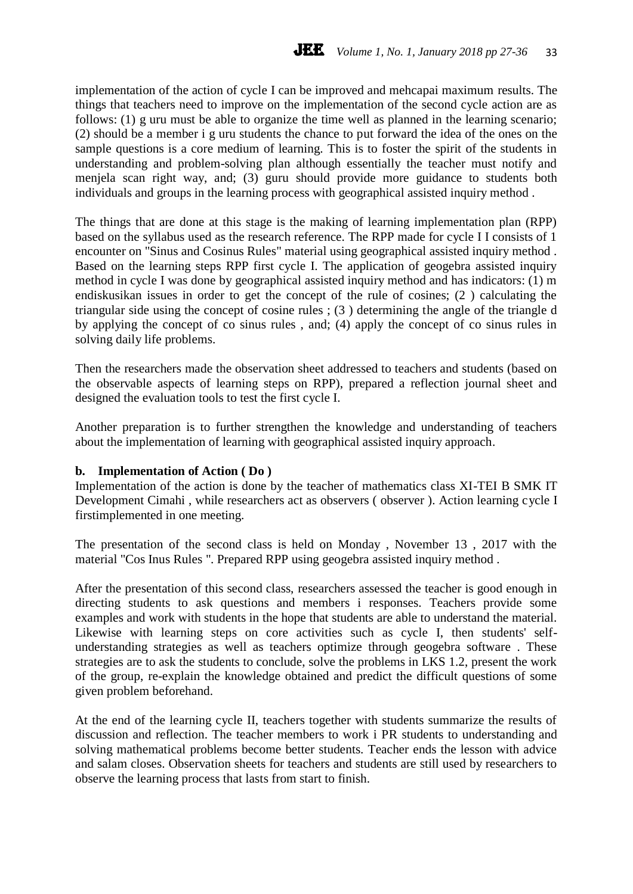implementation of the action of cycle I can be improved and mehcapai maximum results. The things that teachers need to improve on the implementation of the second cycle action are as follows: (1) g uru must be able to organize the time well as planned in the learning scenario; (2) should be a member i g uru students the chance to put forward the idea of the ones on the sample questions is a core medium of learning. This is to foster the spirit of the students in understanding and problem-solving plan although essentially the teacher must notify and menjela scan right way, and; (3) guru should provide more guidance to students both individuals and groups in the learning process with geographical assisted inquiry method .

The things that are done at this stage is the making of learning implementation plan (RPP) based on the syllabus used as the research reference. The RPP made for cycle I I consists of 1 encounter on "Sinus and Cosinus Rules" material using geographical assisted inquiry method . Based on the learning steps RPP first cycle I. The application of geogebra assisted inquiry method in cycle I was done by geographical assisted inquiry method and has indicators: (1) m endiskusikan issues in order to get the concept of the rule of cosines; (2 ) calculating the triangular side using the concept of cosine rules ; (3 ) determining the angle of the triangle d by applying the concept of co sinus rules , and; (4) apply the concept of co sinus rules in solving daily life problems.

Then the researchers made the observation sheet addressed to teachers and students (based on the observable aspects of learning steps on RPP), prepared a reflection journal sheet and designed the evaluation tools to test the first cycle I.

Another preparation is to further strengthen the knowledge and understanding of teachers about the implementation of learning with geographical assisted inquiry approach.

#### **b. Implementation of Action ( Do )**

Implementation of the action is done by the teacher of mathematics class XI-TEI B SMK IT Development Cimahi , while researchers act as observers ( observer ). Action learning cycle I firstimplemented in one meeting.

The presentation of the second class is held on Monday , November 13 , 2017 with the material "Cos Inus Rules ". Prepared RPP using geogebra assisted inquiry method .

After the presentation of this second class, researchers assessed the teacher is good enough in directing students to ask questions and members i responses. Teachers provide some examples and work with students in the hope that students are able to understand the material. Likewise with learning steps on core activities such as cycle I, then students' selfunderstanding strategies as well as teachers optimize through geogebra software . These strategies are to ask the students to conclude, solve the problems in LKS 1.2, present the work of the group, re-explain the knowledge obtained and predict the difficult questions of some given problem beforehand.

At the end of the learning cycle II, teachers together with students summarize the results of discussion and reflection. The teacher members to work i PR students to understanding and solving mathematical problems become better students. Teacher ends the lesson with advice and salam closes. Observation sheets for teachers and students are still used by researchers to observe the learning process that lasts from start to finish.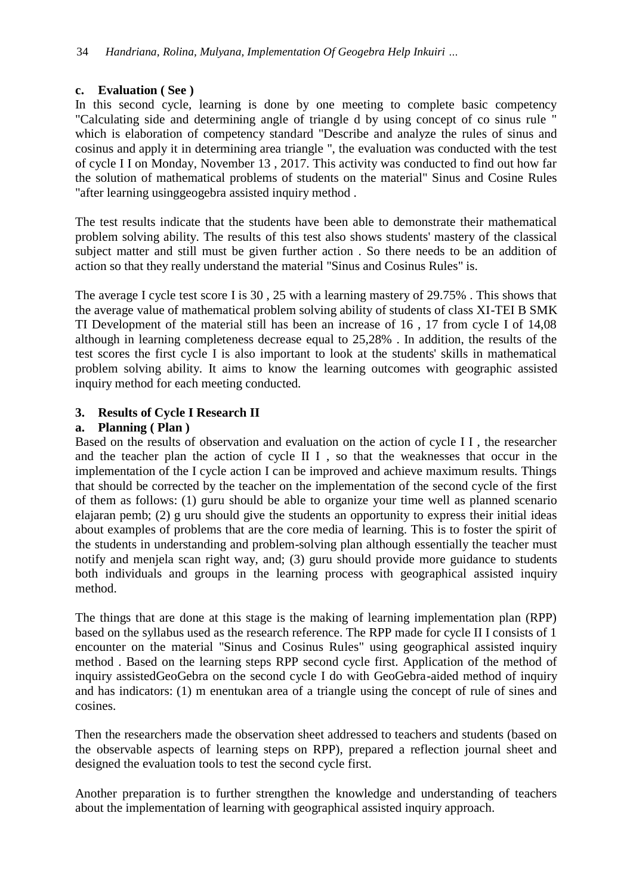## **c. Evaluation ( See )**

In this second cycle, learning is done by one meeting to complete basic competency "Calculating side and determining angle of triangle d by using concept of co sinus rule " which is elaboration of competency standard "Describe and analyze the rules of sinus and cosinus and apply it in determining area triangle ", the evaluation was conducted with the test of cycle I I on Monday, November 13 , 2017. This activity was conducted to find out how far the solution of mathematical problems of students on the material" Sinus and Cosine Rules "after learning usinggeogebra assisted inquiry method .

The test results indicate that the students have been able to demonstrate their mathematical problem solving ability. The results of this test also shows students' mastery of the classical subject matter and still must be given further action . So there needs to be an addition of action so that they really understand the material "Sinus and Cosinus Rules" is.

The average I cycle test score I is 30 , 25 with a learning mastery of 29.75% . This shows that the average value of mathematical problem solving ability of students of class XI-TEI B SMK TI Development of the material still has been an increase of 16 , 17 from cycle I of 14,08 although in learning completeness decrease equal to 25,28% . In addition, the results of the test scores the first cycle I is also important to look at the students' skills in mathematical problem solving ability. It aims to know the learning outcomes with geographic assisted inquiry method for each meeting conducted.

# **3. Results of Cycle I Research II**

## **a. Planning ( Plan )**

Based on the results of observation and evaluation on the action of cycle I I , the researcher and the teacher plan the action of cycle II I , so that the weaknesses that occur in the implementation of the I cycle action I can be improved and achieve maximum results. Things that should be corrected by the teacher on the implementation of the second cycle of the first of them as follows: (1) guru should be able to organize your time well as planned scenario elajaran pemb; (2) g uru should give the students an opportunity to express their initial ideas about examples of problems that are the core media of learning. This is to foster the spirit of the students in understanding and problem-solving plan although essentially the teacher must notify and menjela scan right way, and; (3) guru should provide more guidance to students both individuals and groups in the learning process with geographical assisted inquiry method.

The things that are done at this stage is the making of learning implementation plan (RPP) based on the syllabus used as the research reference. The RPP made for cycle II I consists of 1 encounter on the material "Sinus and Cosinus Rules" using geographical assisted inquiry method . Based on the learning steps RPP second cycle first. Application of the method of inquiry assistedGeoGebra on the second cycle I do with GeoGebra-aided method of inquiry and has indicators: (1) m enentukan area of a triangle using the concept of rule of sines and cosines.

Then the researchers made the observation sheet addressed to teachers and students (based on the observable aspects of learning steps on RPP), prepared a reflection journal sheet and designed the evaluation tools to test the second cycle first.

Another preparation is to further strengthen the knowledge and understanding of teachers about the implementation of learning with geographical assisted inquiry approach.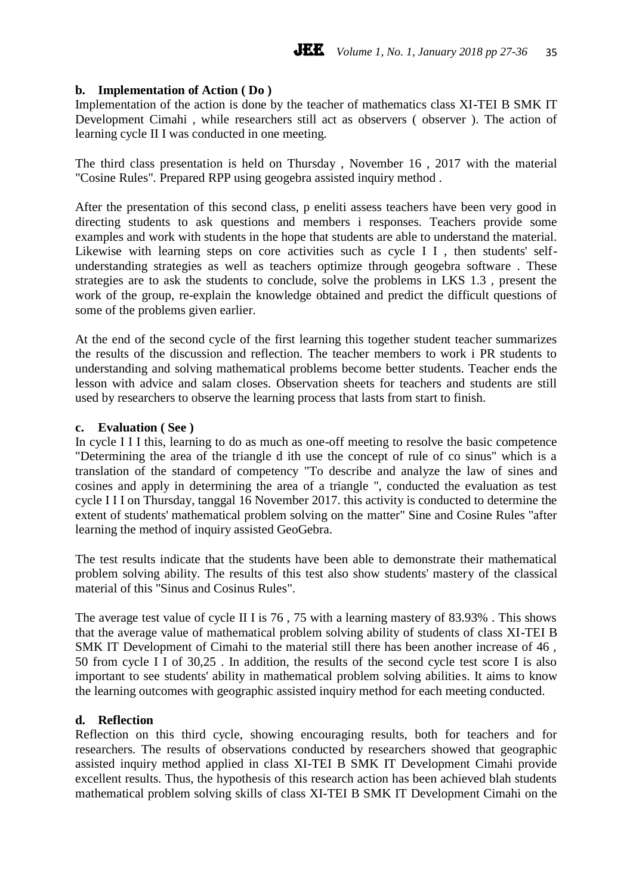#### **b. Implementation of Action ( Do )**

Implementation of the action is done by the teacher of mathematics class XI-TEI B SMK IT Development Cimahi , while researchers still act as observers ( observer ). The action of learning cycle II I was conducted in one meeting.

The third class presentation is held on Thursday , November 16 , 2017 with the material "Cosine Rules". Prepared RPP using geogebra assisted inquiry method .

After the presentation of this second class, p eneliti assess teachers have been very good in directing students to ask questions and members i responses. Teachers provide some examples and work with students in the hope that students are able to understand the material. Likewise with learning steps on core activities such as cycle I I, then students' selfunderstanding strategies as well as teachers optimize through geogebra software . These strategies are to ask the students to conclude, solve the problems in LKS 1.3 , present the work of the group, re-explain the knowledge obtained and predict the difficult questions of some of the problems given earlier.

At the end of the second cycle of the first learning this together student teacher summarizes the results of the discussion and reflection. The teacher members to work i PR students to understanding and solving mathematical problems become better students. Teacher ends the lesson with advice and salam closes. Observation sheets for teachers and students are still used by researchers to observe the learning process that lasts from start to finish.

#### **c. Evaluation ( See )**

In cycle I I I this, learning to do as much as one-off meeting to resolve the basic competence "Determining the area of the triangle d ith use the concept of rule of co sinus" which is a translation of the standard of competency "To describe and analyze the law of sines and cosines and apply in determining the area of a triangle ", conducted the evaluation as test cycle I I I on Thursday, tanggal 16 November 2017. this activity is conducted to determine the extent of students' mathematical problem solving on the matter" Sine and Cosine Rules "after learning the method of inquiry assisted GeoGebra.

The test results indicate that the students have been able to demonstrate their mathematical problem solving ability. The results of this test also show students' mastery of the classical material of this "Sinus and Cosinus Rules".

The average test value of cycle II I is 76 , 75 with a learning mastery of 83.93% . This shows that the average value of mathematical problem solving ability of students of class XI-TEI B SMK IT Development of Cimahi to the material still there has been another increase of 46 , 50 from cycle I I of 30,25 . In addition, the results of the second cycle test score I is also important to see students' ability in mathematical problem solving abilities. It aims to know the learning outcomes with geographic assisted inquiry method for each meeting conducted.

#### **d. Reflection**

Reflection on this third cycle, showing encouraging results, both for teachers and for researchers. The results of observations conducted by researchers showed that geographic assisted inquiry method applied in class XI-TEI B SMK IT Development Cimahi provide excellent results. Thus, the hypothesis of this research action has been achieved blah students mathematical problem solving skills of class XI-TEI B SMK IT Development Cimahi on the